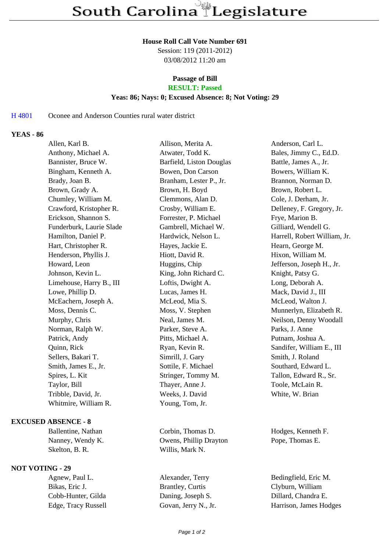#### **House Roll Call Vote Number 691**

Session: 119 (2011-2012) 03/08/2012 11:20 am

# **Passage of Bill**

# **RESULT: Passed**

### **Yeas: 86; Nays: 0; Excused Absence: 8; Not Voting: 29**

# H 4801 Oconee and Anderson Counties rural water district

# **YEAS - 86**

| Allen, Karl B.           | Allison, Merita A.       | Anderson, Carl L.            |
|--------------------------|--------------------------|------------------------------|
| Anthony, Michael A.      | Atwater, Todd K.         | Bales, Jimmy C., Ed.D.       |
| Bannister, Bruce W.      | Barfield, Liston Douglas | Battle, James A., Jr.        |
| Bingham, Kenneth A.      | Bowen, Don Carson        | Bowers, William K.           |
| Brady, Joan B.           | Branham, Lester P., Jr.  | Brannon, Norman D.           |
| Brown, Grady A.          | Brown, H. Boyd           | Brown, Robert L.             |
| Chumley, William M.      | Clemmons, Alan D.        | Cole, J. Derham, Jr.         |
| Crawford, Kristopher R.  | Crosby, William E.       | Delleney, F. Gregory, Jr.    |
| Erickson, Shannon S.     | Forrester, P. Michael    | Frye, Marion B.              |
| Funderburk, Laurie Slade | Gambrell, Michael W.     | Gilliard, Wendell G.         |
| Hamilton, Daniel P.      | Hardwick, Nelson L.      | Harrell, Robert William, Jr. |
| Hart, Christopher R.     | Hayes, Jackie E.         | Hearn, George M.             |
| Henderson, Phyllis J.    | Hiott, David R.          | Hixon, William M.            |
| Howard, Leon             | Huggins, Chip            | Jefferson, Joseph H., Jr.    |
| Johnson, Kevin L.        | King, John Richard C.    | Knight, Patsy G.             |
| Limehouse, Harry B., III | Loftis, Dwight A.        | Long, Deborah A.             |
| Lowe, Phillip D.         | Lucas, James H.          | Mack, David J., III          |
| McEachern, Joseph A.     | McLeod, Mia S.           | McLeod, Walton J.            |
| Moss, Dennis C.          | Moss, V. Stephen         | Munnerlyn, Elizabeth R.      |
| Murphy, Chris            | Neal, James M.           | Neilson, Denny Woodall       |
| Norman, Ralph W.         | Parker, Steve A.         | Parks, J. Anne               |
| Patrick, Andy            | Pitts, Michael A.        | Putnam, Joshua A.            |
| Quinn, Rick              | Ryan, Kevin R.           | Sandifer, William E., III    |
| Sellers, Bakari T.       | Simrill, J. Gary         | Smith, J. Roland             |
| Smith, James E., Jr.     | Sottile, F. Michael      | Southard, Edward L.          |
| Spires, L. Kit           | Stringer, Tommy M.       | Tallon, Edward R., Sr.       |
| Taylor, Bill             | Thayer, Anne J.          | Toole, McLain R.             |
| Tribble, David, Jr.      | Weeks, J. David          | White, W. Brian              |
| Whitmire, William R.     | Young, Tom, Jr.          |                              |
|                          |                          |                              |

### **EXCUSED ABSENCE - 8**

Skelton, B. R. Willis, Mark N.

### **NOT VOTING - 29**

Bikas, Eric J. Brantley, Curtis Clyburn, William Cobb-Hunter, Gilda Daning, Joseph S. Dillard, Chandra E.

Ballentine, Nathan Corbin, Thomas D. Hodges, Kenneth F. Nanney, Wendy K. Charles B. Owens, Phillip Drayton Pope, Thomas E.

Agnew, Paul L. Alexander, Terry Bedingfield, Eric M. Edge, Tracy Russell Govan, Jerry N., Jr. Harrison, James Hodges